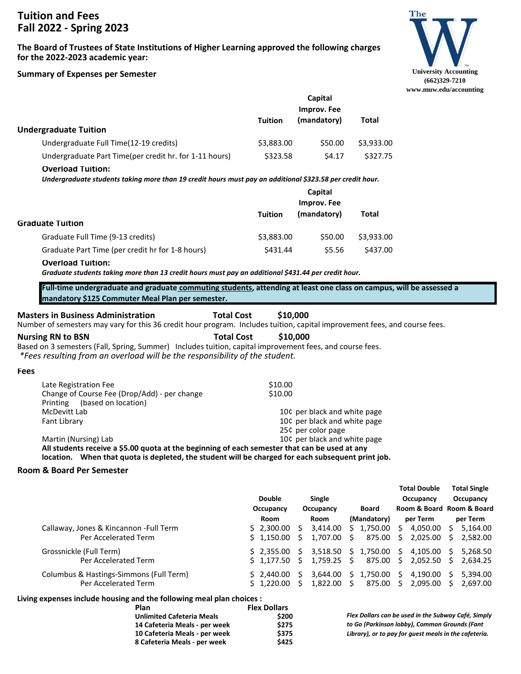# **Tuition and Fees Fall 2022 - Spring 2023**

**The Board of Trustees of State Institutions of Higher Learning approved the following charges for the 2022-2023 academic year:**

#### **Summary of Expenses per Semester**



|                                                                                                                                                           |                                  |                                    |                                   | www.muw.edu/accounting                                                  |
|-----------------------------------------------------------------------------------------------------------------------------------------------------------|----------------------------------|------------------------------------|-----------------------------------|-------------------------------------------------------------------------|
|                                                                                                                                                           |                                  | Capital                            |                                   |                                                                         |
|                                                                                                                                                           |                                  | <b>Improv. Fee</b>                 |                                   |                                                                         |
| <b>Undergraduate Tuition</b>                                                                                                                              | <b>Tuition</b>                   | (mandatory)                        | <b>Total</b>                      |                                                                         |
| Undergraduate Full Time(12-19 credits)                                                                                                                    | \$3,883.00                       | \$50.00                            | \$3,933.00                        |                                                                         |
| Undergraduate Part Time(per credit hr. for 1-11 hours)                                                                                                    | \$323.58                         | \$4.17                             | \$327.75                          |                                                                         |
| <b>Overload Tuition:</b>                                                                                                                                  |                                  |                                    |                                   |                                                                         |
| Undergraduate students taking more than 19 credit hours must pay an additional \$323.58 per credit hour.                                                  |                                  |                                    |                                   |                                                                         |
|                                                                                                                                                           |                                  | Capital                            |                                   |                                                                         |
|                                                                                                                                                           |                                  | <b>Improv. Fee</b>                 |                                   |                                                                         |
| <b>Graduate Tuition</b>                                                                                                                                   | <b>Tuition</b>                   | (mandatory)                        | <b>Total</b>                      |                                                                         |
| Graduate Full Time (9-13 credits)                                                                                                                         | \$3,883.00                       | \$50.00                            | \$3,933.00                        |                                                                         |
| Graduate Part Time (per credit hr for 1-8 hours)                                                                                                          | \$431.44                         | \$5.56                             | \$437.00                          |                                                                         |
| <b>Overload Tuition:</b>                                                                                                                                  |                                  |                                    |                                   |                                                                         |
| Graduate students taking more than 13 credit hours must pay an additional \$431.44 per credit hour.                                                       |                                  |                                    |                                   |                                                                         |
| Full-time undergraduate and graduate commuting students, attending at least one class on campus, will be assessed a                                       |                                  |                                    |                                   |                                                                         |
| mandatory \$125 Commuter Meal Plan per semester.                                                                                                          |                                  |                                    |                                   |                                                                         |
| <b>Total Cost</b><br><b>Masters in Business Administration</b>                                                                                            | \$10,000                         |                                    |                                   |                                                                         |
| Number of semesters may vary for this 36 credit hour program. Includes tuition, capital improvement fees, and course fees.                                |                                  |                                    |                                   |                                                                         |
| <b>Total Cost</b><br><b>Nursing RN to BSN</b><br>Based on 3 semesters (Fall, Spring, Summer) Includes tuition, capital improvement fees, and course fees. | \$10,000                         |                                    |                                   |                                                                         |
| *Fees resulting from an overload will be the responsibility of the student.                                                                               |                                  |                                    |                                   |                                                                         |
| <b>Fees</b>                                                                                                                                               |                                  |                                    |                                   |                                                                         |
| Late Registration Fee                                                                                                                                     | \$10.00                          |                                    |                                   |                                                                         |
| Change of Course Fee (Drop/Add) - per change                                                                                                              | \$10.00                          |                                    |                                   |                                                                         |
| Printing<br>(based on location)<br>McDevitt Lab                                                                                                           |                                  | 10¢ per black and white page       |                                   |                                                                         |
| Fant Library                                                                                                                                              |                                  | 10¢ per black and white page       |                                   |                                                                         |
|                                                                                                                                                           |                                  | 25¢ per color page                 |                                   |                                                                         |
| Martin (Nursing) Lab<br>All students receive a \$5.00 quota at the beginning of each semester that can be used at any                                     |                                  | 10¢ per black and white page       |                                   |                                                                         |
| location. When that quota is depleted, the student will be charged for each subsequent print job.                                                         |                                  |                                    |                                   |                                                                         |
| Room & Board Per Semester                                                                                                                                 |                                  |                                    |                                   |                                                                         |
|                                                                                                                                                           |                                  |                                    |                                   | <b>Total Double</b><br><b>Total Single</b>                              |
|                                                                                                                                                           | <b>Double</b>                    | Single                             |                                   | Occupancy<br>Occupancy                                                  |
|                                                                                                                                                           | Occupancy                        | Occupancy                          | <b>Board</b>                      | Room & Board Room & Board                                               |
|                                                                                                                                                           | Room                             | Room                               | (Mandatory)                       | per Term<br>per Term                                                    |
| Callaway, Jones & Kincannon - Full Term<br>Per Accelerated Term                                                                                           | 2,300.00<br>\$.<br>1,150.00<br>S | 3,414.00<br>\$.<br>1,707.00<br>\$. | 1,750.00<br>S.<br>875.00<br>S.    | 4,050.00<br>-\$<br>5,164.00<br>Ş.<br>2,582.00<br>\$.<br>2,025.00<br>-\$ |
| Grossnickle (Full Term)                                                                                                                                   | 2,355.00<br>\$.                  | 3,518.50<br>\$.                    | 1,750.00<br>\$.                   | 4,105.00<br>5,268.50<br>\$.<br>-\$                                      |
| Per Accelerated Term                                                                                                                                      | 1,177.50<br>\$.                  | 1,759.25<br>\$.                    | 875.00<br>-\$                     | \$<br>2,052.50<br>2,634.25<br>-\$                                       |
| Columbus & Hastings-Simmons (Full Term)<br>Per Accelerated Term                                                                                           | 2,440.00<br>\$.<br>\$1,220.00    | \$<br>3,644.00<br>1,822.00<br>S.   | \$<br>1,750.00 \$<br>875.00<br>S. | 4,190.00<br>5,394.00<br>-\$<br>S<br>2,095.00<br>S<br>2,697.00           |
| Living expenses include housing and the following meal plan choices :                                                                                     |                                  |                                    |                                   |                                                                         |

**Plan Flex Dollars Unlimited Cafeteria Meals \$200 14 Cafeteria Meals - per week \$275 10 Cafeteria Meals - per week 8 Cafeteria Meals - per week \$425**  *Flex Dollars can be used in the Subway Café, Simply to Go (Parkinson lobby), Common Grounds (Fant Library), or to pay for guest meals in the cafeteria.*